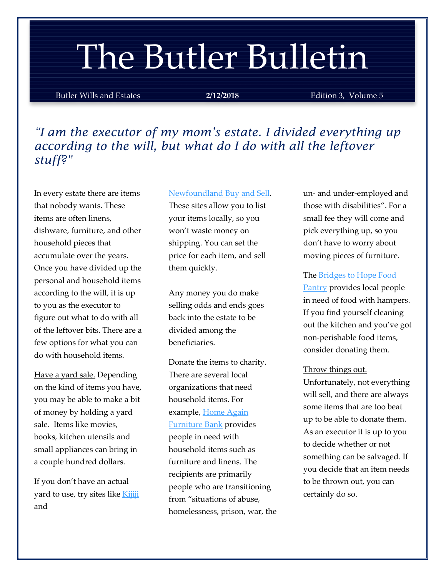# The Butler Bulletin

Butler Wills and Estates **2/12/2018** Edition 3, Volume 5

*"I am the executor of my mom's estate. I divided everything up according to the will, but what do I do with all the leftover stuff?"*

In every estate there are items that nobody wants. These items are often linens, dishware, furniture, and other household pieces that accumulate over the years. Once you have divided up the personal and household items according to the will, it is up to you as the executor to figure out what to do with all of the leftover bits. There are a few options for what you can do with household items.

Have a yard sale. Depending on the kind of items you have, you may be able to make a bit of money by holding a yard sale. Items like movies, books, kitchen utensils and small appliances can bring in a couple hundred dollars.

If you don't have an actual yard to use, try sites like [Kijiji](https://www.kijiji.ca/h-newfoundland/9008) and

#### [Newfoundland Buy and Sell.](https://nlbuysell.com/)

These sites allow you to list your items locally, so you won't waste money on shipping. You can set the price for each item, and sell them quickly.

Any money you do make selling odds and ends goes back into the estate to be divided among the beneficiaries.

Donate the items to charity. There are several local organizations that need household items. For example, Home Again [Furniture Bank](https://volunteerstjohns.ca/nonprofit-organization/home-again-furniture-bank/) provides people in need with household items such as furniture and linens. The recipients are primarily people who are transitioning from "situations of abuse, homelessness, prison, war, the un- and under-employed and those with disabilities". For a small fee they will come and pick everything up, so you don't have to worry about moving pieces of furniture.

The **Bridges** to Hope Food [Pantry](http://www.bridgestohope.ca/programs/) provides local people in need of food with hampers. If you find yourself cleaning out the kitchen and you've got non-perishable food items, consider donating them.

### Throw things out.

Unfortunately, not everything will sell, and there are always some items that are too beat up to be able to donate them. As an executor it is up to you to decide whether or not something can be salvaged. If you decide that an item needs to be thrown out, you can certainly do so.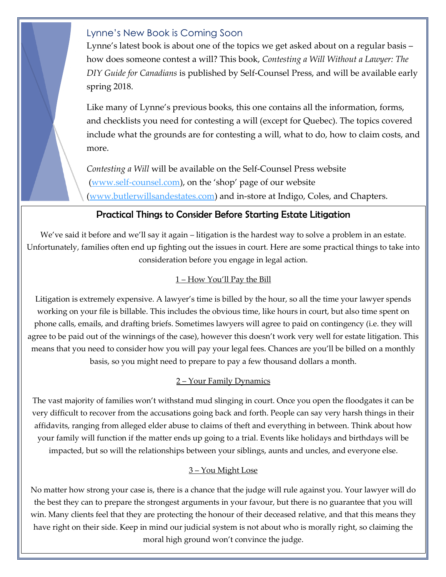### Lynne's New Book is Coming Soon

Lynne's latest book is about one of the topics we get asked about on a regular basis – how does someone contest a will? This book, *Contesting a Will Without a Lawyer: The DIY Guide for Canadians* is published by Self-Counsel Press, and will be available early spring 2018.

Like many of Lynne's previous books, this one contains all the information, forms, and checklists you need for contesting a will (except for Quebec). The topics covered include what the grounds are for contesting a will, what to do, how to claim costs, and more.

*Contesting a Will* will be available on the Self-Counsel Press website [\(www.self-counsel.com\)](www.self-counsel.com), on the 'shop' page of our website [\(www.butlerwillsandestates.com\)](http://www.butlerwillsandestates.com/) and in-store at Indigo, Coles, and Chapters.

### Practical Things to Consider Before Starting Estate Litigation

We've said it before and we'll say it again – litigation is the hardest way to solve a problem in an estate. Unfortunately, families often end up fighting out the issues in court. Here are some practical things to take into consideration before you engage in legal action.

### 1 – How You'll Pay the Bill

Litigation is extremely expensive. A lawyer's time is billed by the hour, so all the time your lawyer spends working on your file is billable. This includes the obvious time, like hours in court, but also time spent on phone calls, emails, and drafting briefs. Sometimes lawyers will agree to paid on contingency (i.e. they will agree to be paid out of the winnings of the case), however this doesn't work very well for estate litigation. This means that you need to consider how you will pay your legal fees. Chances are you'll be billed on a monthly basis, so you might need to prepare to pay a few thousand dollars a month.

### 2 – Your Family Dynamics

The vast majority of families won't withstand mud slinging in court. Once you open the floodgates it can be very difficult to recover from the accusations going back and forth. People can say very harsh things in their affidavits, ranging from alleged elder abuse to claims of theft and everything in between. Think about how your family will function if the matter ends up going to a trial. Events like holidays and birthdays will be impacted, but so will the relationships between your siblings, aunts and uncles, and everyone else.

### 3 – You Might Lose

No matter how strong your case is, there is a chance that the judge will rule against you. Your lawyer will do the best they can to prepare the strongest arguments in your favour, but there is no guarantee that you will win. Many clients feel that they are protecting the honour of their deceased relative, and that this means they have right on their side. Keep in mind our judicial system is not about who is morally right, so claiming the moral high ground won't convince the judge.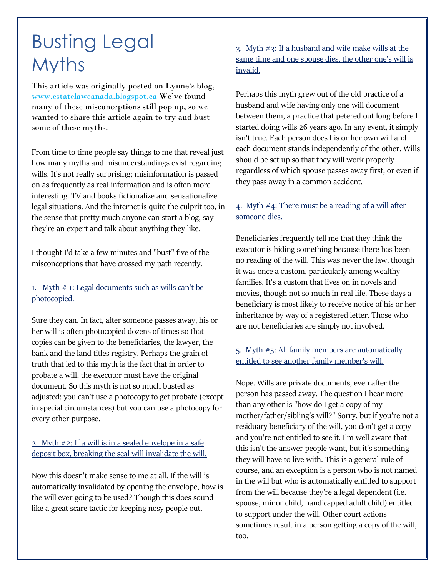# Busting Legal Myths

This article was originally posted on Lynne's blog, [www.estatelawcanada.blogspot.ca](http://www.estatelawcanada.blogspot.ca/) We've found many of these misconceptions still pop up, so we wanted to share this article again to try and bust some of these myths.

From time to time people say things to me that reveal just how many myths and misunderstandings exist regarding wills. It's not really surprising; misinformation is passed on as frequently as real information and is often more interesting. TV and books fictionalize and sensationalize legal situations. And the internet is quite the culprit too, in the sense that pretty much anyone can start a blog, say they're an expert and talk about anything they like.

I thought I'd take a few minutes and "bust" five of the misconceptions that have crossed my path recently.

### 1. Myth  $#$  1: Legal documents such as wills can't be photocopied.

Sure they can. In fact, after someone passes away, his or her will is often photocopied dozens of times so that copies can be given to the beneficiaries, the lawyer, the bank and the land titles registry. Perhaps the grain of truth that led to this myth is the fact that in order to probate a will, the executor must have the original document. So this myth is not so much busted as adjusted; you can't use a photocopy to get probate (except in special circumstances) but you can use a photocopy for every other purpose.

### 2. Myth #2: If a will is in a sealed envelope in a safe deposit box, breaking the seal will invalidate the will.

Now this doesn't make sense to me at all. If the will is automatically invalidated by opening the envelope, how is the will ever going to be used? Though this does sound like a great scare tactic for keeping nosy people out.

3. Myth #3: If a husband and wife make wills at the same time and one spouse dies, the other one's will is invalid.

Perhaps this myth grew out of the old practice of a husband and wife having only one will document between them, a practice that petered out long before I started doing wills 26 years ago. In any event, it simply isn't true. Each person does his or her own will and each document stands independently of the other. Wills should be set up so that they will work properly regardless of which spouse passes away first, or even if they pass away in a common accident.

### 4. Myth #4: There must be a reading of a will after someone dies.

Beneficiaries frequently tell me that they think the executor is hiding something because there has been no reading of the will. This was never the law, though it was once a custom, particularly among wealthy families. It's a custom that lives on in novels and movies, though not so much in real life. These days a beneficiary is most likely to receive notice of his or her inheritance by way of a registered letter. Those who are not beneficiaries are simply not involved.

### 5. Myth #5: All family members are automatically entitled to see another family member's will.

Nope. Wills are private documents, even after the person has passed away. The question I hear more than any other is "how do I get a copy of my mother/father/sibling's will?" Sorry, but if you're not a residuary beneficiary of the will, you don't get a copy and you're not entitled to see it. I'm well aware that this isn't the answer people want, but it's something they will have to live with. This is a general rule of course, and an exception is a person who is not named in the will but who is automatically entitled to support from the will because they're a legal dependent (i.e. spouse, minor child, handicapped adult child) entitled to support under the will. Other court actions sometimes result in a person getting a copy of the will, too.